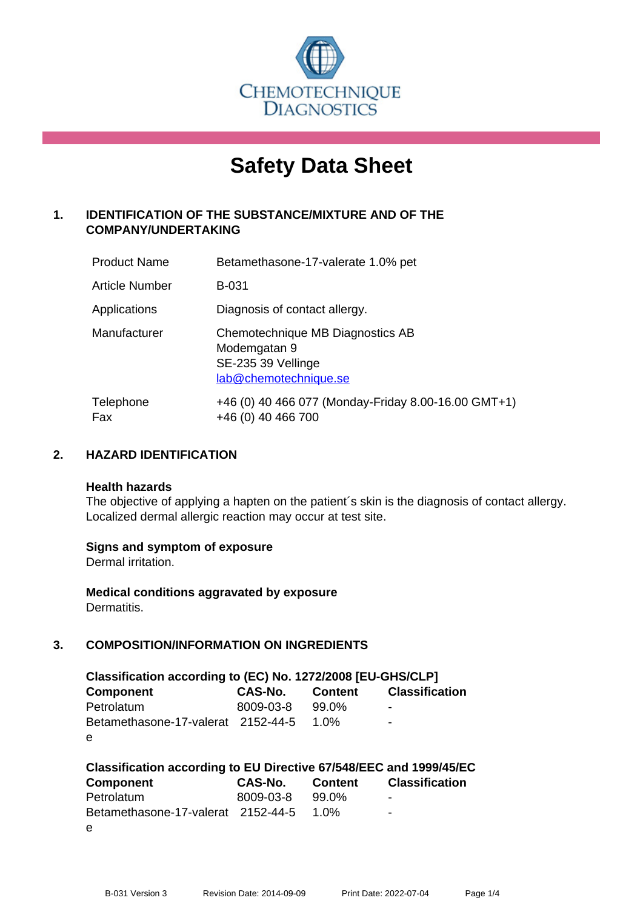

# **Safety Data Sheet**

# **1. IDENTIFICATION OF THE SUBSTANCE/MIXTURE AND OF THE COMPANY/UNDERTAKING**

| <b>Product Name</b> | Betamethasone-17-valerate 1.0% pet                                                              |
|---------------------|-------------------------------------------------------------------------------------------------|
| Article Number      | <b>B-031</b>                                                                                    |
| Applications        | Diagnosis of contact allergy.                                                                   |
| Manufacturer        | Chemotechnique MB Diagnostics AB<br>Modemgatan 9<br>SE-235 39 Vellinge<br>lab@chemotechnique.se |
| Telephone<br>Fax    | +46 (0) 40 466 077 (Monday-Friday 8.00-16.00 GMT+1)<br>+46 (0) 40 466 700                       |

## **2. HAZARD IDENTIFICATION**

#### **Health hazards**

The objective of applying a hapten on the patient's skin is the diagnosis of contact allergy. Localized dermal allergic reaction may occur at test site.

## **Signs and symptom of exposure**

Dermal irritation.

**Medical conditions aggravated by exposure** Dermatitis.

## **3. COMPOSITION/INFORMATION ON INGREDIENTS**

| Classification according to (EC) No. 1272/2008 [EU-GHS/CLP] |           |         |                       |  |  |
|-------------------------------------------------------------|-----------|---------|-----------------------|--|--|
| <b>Component</b>                                            | CAS-No.   | Content | <b>Classification</b> |  |  |
| Petrolatum                                                  | 8009-03-8 | 99.0%   | ۰                     |  |  |
| Betamethasone-17-valerat 2152-44-5                          |           | 1.0%    | ۰                     |  |  |
| e                                                           |           |         |                       |  |  |

| Classification according to EU Directive 67/548/EEC and 1999/45/EC |           |         |                       |  |  |
|--------------------------------------------------------------------|-----------|---------|-----------------------|--|--|
| Component                                                          | CAS-No.   | Content | <b>Classification</b> |  |  |
| Petrolatum                                                         | 8009-03-8 | 99.0%   | $\,$                  |  |  |
| Betamethasone-17-valerat 2152-44-5 1.0%                            |           |         | $\blacksquare$        |  |  |
| e                                                                  |           |         |                       |  |  |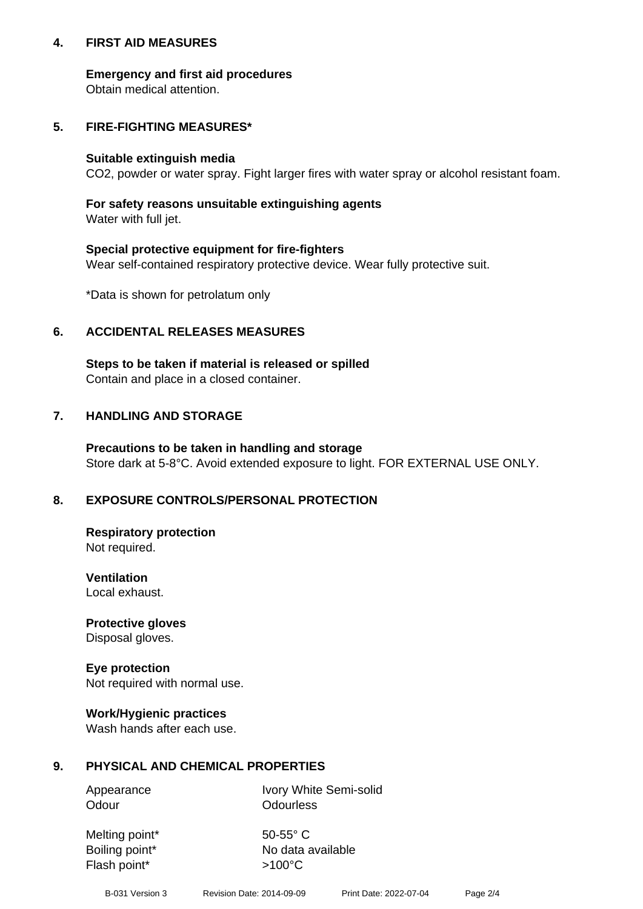## **4. FIRST AID MEASURES**

## **Emergency and first aid procedures**

Obtain medical attention.

## **5. FIRE-FIGHTING MEASURES\***

#### **Suitable extinguish media**

CO2, powder or water spray. Fight larger fires with water spray or alcohol resistant foam.

## **For safety reasons unsuitable extinguishing agents**

Water with full jet.

## **Special protective equipment for fire-fighters**

Wear self-contained respiratory protective device. Wear fully protective suit.

\*Data is shown for petrolatum only

## **6. ACCIDENTAL RELEASES MEASURES**

**Steps to be taken if material is released or spilled** Contain and place in a closed container.

# **7. HANDLING AND STORAGE**

**Precautions to be taken in handling and storage** Store dark at 5-8°C. Avoid extended exposure to light. FOR EXTERNAL USE ONLY.

# **8. EXPOSURE CONTROLS/PERSONAL PROTECTION**

**Respiratory protection** Not required.

**Ventilation** Local exhaust.

**Protective gloves** Disposal gloves.

#### **Eye protection** Not required with normal use.

## **Work/Hygienic practices**

Wash hands after each use.

## **9. PHYSICAL AND CHEMICAL PROPERTIES**

Odour **Odourless** 

Appearance Ivory White Semi-solid

Melting point\* 50-55° C Flash point\*  $>100^{\circ}$ C

Boiling point\* No data available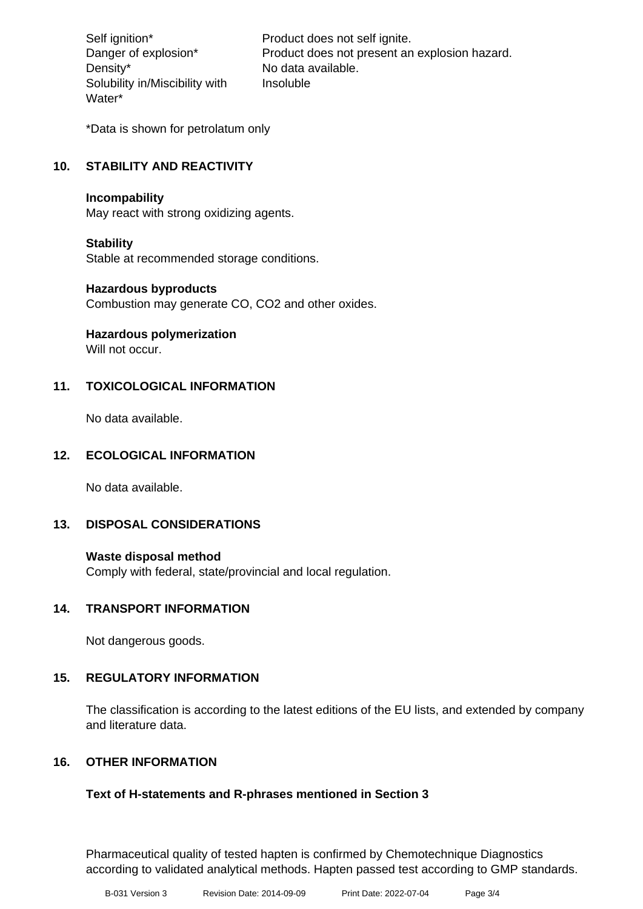Density\* No data available. Solubility in/Miscibility with Water\*

Self ignition\* Product does not self ignite. Danger of explosion\* Product does not present an explosion hazard. Insoluble

\*Data is shown for petrolatum only

## **10. STABILITY AND REACTIVITY**

#### **Incompability**

May react with strong oxidizing agents.

## **Stability**

Stable at recommended storage conditions.

#### **Hazardous byproducts**

Combustion may generate CO, CO2 and other oxides.

**Hazardous polymerization**

Will not occur.

## **11. TOXICOLOGICAL INFORMATION**

No data available.

## **12. ECOLOGICAL INFORMATION**

No data available.

## **13. DISPOSAL CONSIDERATIONS**

#### **Waste disposal method**

Comply with federal, state/provincial and local regulation.

## **14. TRANSPORT INFORMATION**

Not dangerous goods.

## **15. REGULATORY INFORMATION**

The classification is according to the latest editions of the EU lists, and extended by company and literature data.

## **16. OTHER INFORMATION**

## **Text of H-statements and R-phrases mentioned in Section 3**

Pharmaceutical quality of tested hapten is confirmed by Chemotechnique Diagnostics according to validated analytical methods. Hapten passed test according to GMP standards.